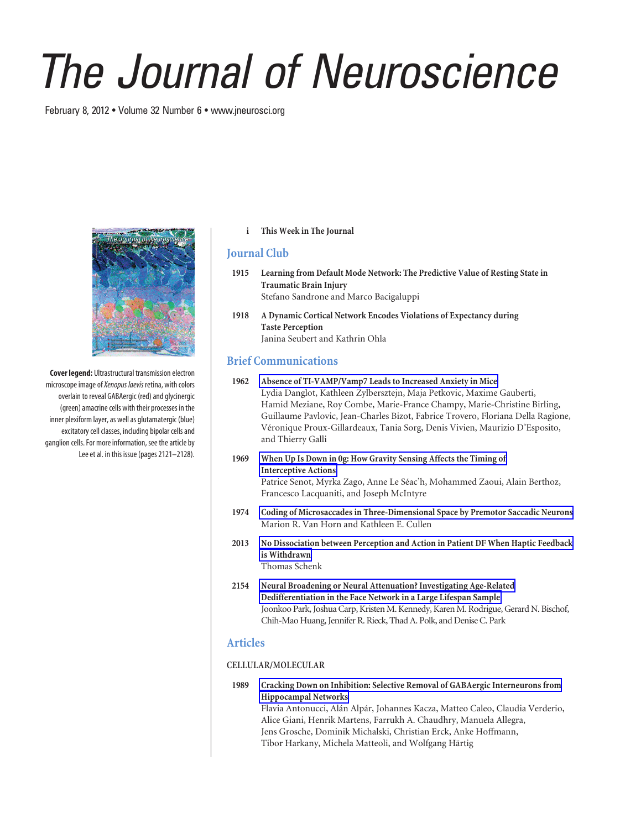# *The Journal of Neuroscience*

February 8, 2012 • Volume 32 Number 6 • www.jneurosci.org



**Cover legend:** Ultrastructural transmission electron microscope image of*Xenopus laevis* retina, with colors overlain to reveal GABAergic (red) and glycinergic (green) amacrine cells with their processes in the inner plexiform layer, as well as glutamatergic (blue) excitatory cell classes, including bipolar cells and ganglion cells. For more information, see the article by Lee et al. in this issue (pages 2121–2128).

#### **i This Week in The Journal**

### **Journal Club**

- **1915 Learning from Default Mode Network: The Predictive Value of Resting State in Traumatic Brain Injury** Stefano Sandrone and Marco Bacigaluppi
- **1918 A Dynamic Cortical Network Encodes Violations of Expectancy during Taste Perception** Janina Seubert and Kathrin Ohla

# **Brief Communications**

- **1962 Absence of TI-VAMP/Vamp7 Leads to Increased Anxiety in Mice** Lydia Danglot, Kathleen Zylbersztejn, Maja Petkovic, Maxime Gauberti, Hamid Meziane, Roy Combe, Marie-France Champy, Marie-Christine Birling, Guillaume Pavlovic, Jean-Charles Bizot, Fabrice Trovero, Floriana Della Ragione, Véronique Proux-Gillardeaux, Tania Sorg, Denis Vivien, Maurizio D'Esposito, and Thierry Galli
- **1969 When Up Is Down in 0g: How Gravity Sensing Affects the Timing of Interceptive Actions** Patrice Senot, Myrka Zago, Anne Le Séac'h, Mohammed Zaoui, Alain Berthoz, Francesco Lacquaniti, and Joseph McIntyre
- **1974 Coding of Microsaccades in Three-Dimensional Space by Premotor Saccadic Neurons** Marion R. Van Horn and Kathleen E. Cullen
- **2013 No Dissociation between Perception and Action in Patient DF When Haptic Feedback is Withdrawn** Thomas Schenk
- **2154 Neural Broadening or Neural Attenuation? Investigating Age-Related Dedifferentiation in the Face Network in a Large Lifespan Sample** Joonkoo Park, Joshua Carp, Kristen M. Kennedy, Karen M. Rodrigue, Gerard N. Bischof, Chih-Mao Huang, Jennifer R. Rieck, Thad A. Polk, and Denise C. Park

## **Articles**

#### **CELLULAR/MOLECULAR**

**1989 Cracking Down on Inhibition: Selective Removal of GABAergic Interneurons from Hippocampal Networks**

Flavia Antonucci, Alán Alpár, Johannes Kacza, Matteo Caleo, Claudia Verderio, Alice Giani, Henrik Martens, Farrukh A. Chaudhry, Manuela Allegra, Jens Grosche, Dominik Michalski, Christian Erck, Anke Hoffmann, Tibor Harkany, Michela Matteoli, and Wolfgang Härtig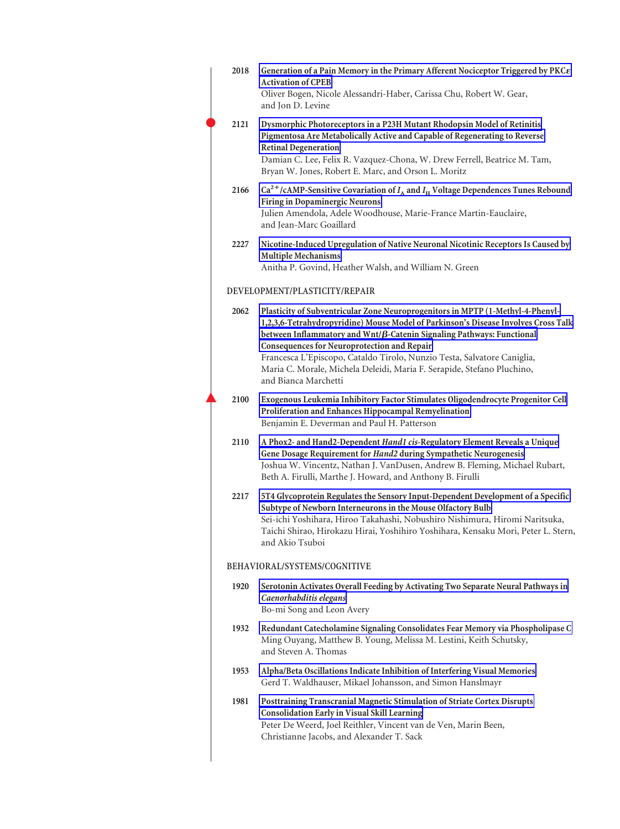| 2018 | Generation of a Pain Memory in the Primary Afferent Nociceptor Triggered by PKC $\varepsilon$<br><b>Activation of CPEB</b><br>Oliver Bogen, Nicole Alessandri-Haber, Carissa Chu, Robert W. Gear,<br>and Jon D. Levine                                                                                                                                                                                                                                                                  |  |
|------|-----------------------------------------------------------------------------------------------------------------------------------------------------------------------------------------------------------------------------------------------------------------------------------------------------------------------------------------------------------------------------------------------------------------------------------------------------------------------------------------|--|
| 2121 | Dysmorphic Photoreceptors in a P23H Mutant Rhodopsin Model of Retinitis<br>Pigmentosa Are Metabolically Active and Capable of Regenerating to Reverse<br><b>Retinal Degeneration</b><br>Damian C. Lee, Felix R. Vazquez-Chona, W. Drew Ferrell, Beatrice M. Tam,<br>Bryan W. Jones, Robert E. Marc, and Orson L. Moritz                                                                                                                                                                 |  |
| 2166 | $Ca^{2+}/cAMP$ -Sensitive Covariation of $I_A$ and $I_H$ Voltage Dependences Tunes Rebound<br><b>Firing in Dopaminergic Neurons</b><br>Julien Amendola, Adele Woodhouse, Marie-France Martin-Eauclaire,<br>and Jean-Marc Goaillard                                                                                                                                                                                                                                                      |  |
| 2227 | Nicotine-Induced Upregulation of Native Neuronal Nicotinic Receptors Is Caused by<br><b>Multiple Mechanisms</b><br>Anitha P. Govind, Heather Walsh, and William N. Green                                                                                                                                                                                                                                                                                                                |  |
|      | DEVELOPMENT/PLASTICITY/REPAIR                                                                                                                                                                                                                                                                                                                                                                                                                                                           |  |
| 2062 | Plasticity of Subventricular Zone Neuroprogenitors in MPTP (1-Methyl-4-Phenyl-<br>1,2,3,6-Tetrahydropyridine) Mouse Model of Parkinson's Disease Involves Cross Talk<br>between Inflammatory and $Wnt/\beta$ -Catenin Signaling Pathways: Functional<br><b>Consequences for Neuroprotection and Repair</b><br>Francesca L'Episcopo, Cataldo Tirolo, Nunzio Testa, Salvatore Caniglia,<br>Maria C. Morale, Michela Deleidi, Maria F. Serapide, Stefano Pluchino,<br>and Bianca Marchetti |  |
| 2100 | Exogenous Leukemia Inhibitory Factor Stimulates Oligodendrocyte Progenitor Cell<br>Proliferation and Enhances Hippocampal Remyelination<br>Benjamin E. Deverman and Paul H. Patterson                                                                                                                                                                                                                                                                                                   |  |
| 2110 | A Phox2- and Hand2-Dependent Hand1 cis-Regulatory Element Reveals a Unique<br>Gene Dosage Requirement for Hand2 during Sympathetic Neurogenesis<br>Joshua W. Vincentz, Nathan J. VanDusen, Andrew B. Fleming, Michael Rubart,<br>Beth A. Firulli, Marthe J. Howard, and Anthony B. Firulli                                                                                                                                                                                              |  |
| 2217 | 5T4 Glycoprotein Regulates the Sensory Input-Dependent Development of a Specific<br>Subtype of Newborn Interneurons in the Mouse Olfactory Bulb<br>Sei-ichi Yoshihara, Hiroo Takahashi, Nobushiro Nishimura, Hiromi Naritsuka,<br>Taichi Shirao, Hirokazu Hirai, Yoshihiro Yoshihara, Kensaku Mori, Peter L. Stern,<br>and Akio Tsuboi                                                                                                                                                  |  |
|      | BEHAVIORAL/SYSTEMS/COGNITIVE                                                                                                                                                                                                                                                                                                                                                                                                                                                            |  |
| 1920 | Serotonin Activates Overall Feeding by Activating Two Separate Neural Pathways in<br>Caenorhabditis elegans<br>Bo-mi Song and Leon Avery                                                                                                                                                                                                                                                                                                                                                |  |
| 1932 | Redundant Catecholamine Signaling Consolidates Fear Memory via Phospholipase C<br>Ming Ouyang, Matthew B. Young, Melissa M. Lestini, Keith Schutsky,<br>and Steven A. Thomas                                                                                                                                                                                                                                                                                                            |  |
| 1953 | Alpha/Beta Oscillations Indicate Inhibition of Interfering Visual Memories<br>Gerd T. Waldhauser, Mikael Johansson, and Simon Hanslmayr                                                                                                                                                                                                                                                                                                                                                 |  |
| 1981 | Posttraining Transcranial Magnetic Stimulation of Striate Cortex Disrupts<br><b>Consolidation Early in Visual Skill Learning</b><br>Peter De Weerd, Joel Reithler, Vincent van de Ven, Marin Been,<br>Christianne Jacobs, and Alexander T. Sack                                                                                                                                                                                                                                         |  |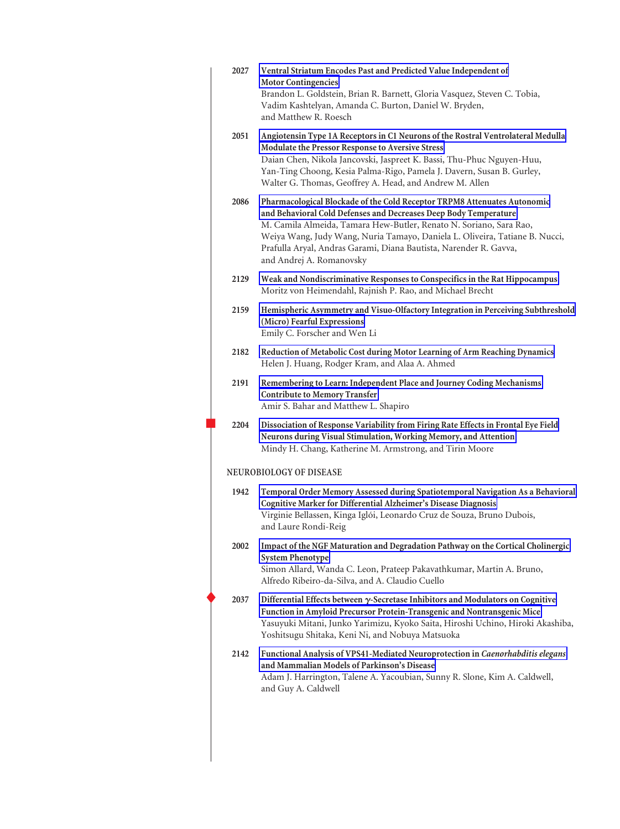| 2027 | Ventral Striatum Encodes Past and Predicted Value Independent of<br><b>Motor Contingencies</b><br>Brandon L. Goldstein, Brian R. Barnett, Gloria Vasquez, Steven C. Tobia,<br>Vadim Kashtelyan, Amanda C. Burton, Daniel W. Bryden,<br>and Matthew R. Roesch                                                                                                                                       |
|------|----------------------------------------------------------------------------------------------------------------------------------------------------------------------------------------------------------------------------------------------------------------------------------------------------------------------------------------------------------------------------------------------------|
| 2051 | Angiotensin Type 1A Receptors in C1 Neurons of the Rostral Ventrolateral Medulla<br>Modulate the Pressor Response to Aversive Stress<br>Daian Chen, Nikola Jancovski, Jaspreet K. Bassi, Thu-Phuc Nguyen-Huu,<br>Yan-Ting Choong, Kesia Palma-Rigo, Pamela J. Davern, Susan B. Gurley,<br>Walter G. Thomas, Geoffrey A. Head, and Andrew M. Allen                                                  |
| 2086 | Pharmacological Blockade of the Cold Receptor TRPM8 Attenuates Autonomic<br>and Behavioral Cold Defenses and Decreases Deep Body Temperature<br>M. Camila Almeida, Tamara Hew-Butler, Renato N. Soriano, Sara Rao,<br>Weiya Wang, Judy Wang, Nuria Tamayo, Daniela L. Oliveira, Tatiane B. Nucci,<br>Prafulla Aryal, Andras Garami, Diana Bautista, Narender R. Gavva,<br>and Andrej A. Romanovsky |
| 2129 | Weak and Nondiscriminative Responses to Conspecifics in the Rat Hippocampus<br>Moritz von Heimendahl, Rajnish P. Rao, and Michael Brecht                                                                                                                                                                                                                                                           |
| 2159 | Hemispheric Asymmetry and Visuo-Olfactory Integration in Perceiving Subthreshold<br>(Micro) Fearful Expressions<br>Emily C. Forscher and Wen Li                                                                                                                                                                                                                                                    |
| 2182 | Reduction of Metabolic Cost during Motor Learning of Arm Reaching Dynamics<br>Helen J. Huang, Rodger Kram, and Alaa A. Ahmed                                                                                                                                                                                                                                                                       |
| 2191 | Remembering to Learn: Independent Place and Journey Coding Mechanisms<br><b>Contribute to Memory Transfer</b><br>Amir S. Bahar and Matthew L. Shapiro                                                                                                                                                                                                                                              |
| 2204 | Dissociation of Response Variability from Firing Rate Effects in Frontal Eye Field<br>Neurons during Visual Stimulation, Working Memory, and Attention<br>Mindy H. Chang, Katherine M. Armstrong, and Tirin Moore                                                                                                                                                                                  |
|      | NEUROBIOLOGY OF DISEASE                                                                                                                                                                                                                                                                                                                                                                            |
| 1942 | Temporal Order Memory Assessed during Spatiotemporal Navigation As a Behavioral<br>Cognitive Marker for Differential Alzheimer's Disease Diagnosis<br>Virginie Bellassen, Kinga Iglói, Leonardo Cruz de Souza, Bruno Dubois,<br>and Laure Rondi-Reig                                                                                                                                               |
| 2002 | Impact of the NGF Maturation and Degradation Pathway on the Cortical Cholinergic<br><b>System Phenotype</b><br>Simon Allard, Wanda C. Leon, Prateep Pakavathkumar, Martin A. Bruno,<br>Alfredo Ribeiro-da-Silva, and A. Claudio Cuello                                                                                                                                                             |
| 2037 | Differential Effects between $\gamma$ -Secretase Inhibitors and Modulators on Cognitive<br>Function in Amyloid Precursor Protein-Transgenic and Nontransgenic Mice<br>Yasuyuki Mitani, Junko Yarimizu, Kyoko Saita, Hiroshi Uchino, Hiroki Akashiba,<br>Yoshitsugu Shitaka, Keni Ni, and Nobuya Matsuoka                                                                                           |
| 2142 | Functional Analysis of VPS41-Mediated Neuroprotection in Caenorhabditis elegans<br>and Mammalian Models of Parkinson's Disease<br>Adam J. Harrington, Talene A. Yacoubian, Sunny R. Slone, Kim A. Caldwell,<br>and Guy A. Caldwell                                                                                                                                                                 |
|      |                                                                                                                                                                                                                                                                                                                                                                                                    |